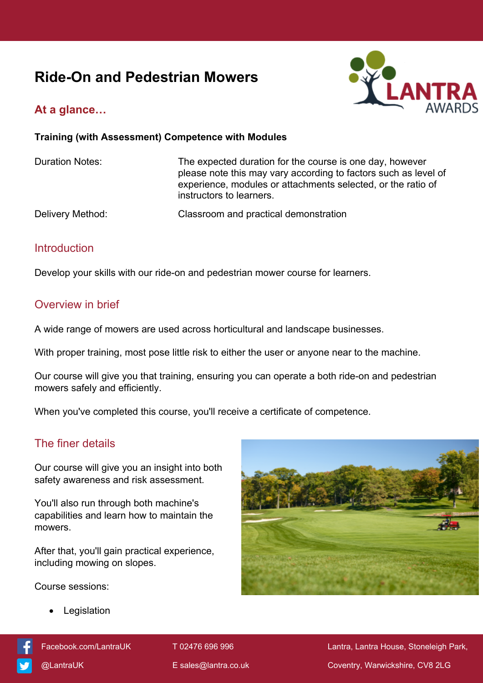# **Ride-On and Pedestrian Mowers**



# **At a glance…**

#### **Training (with Assessment) Competence with Modules**

Duration Notes: The expected duration for the course is one day, however please note this may vary according to factors such as level of experience, modules or attachments selected, or the ratio of instructors to learners.

Delivery Method: Classroom and practical demonstration

#### **Introduction**

Develop your skills with our ride-on and pedestrian mower course for learners.

#### Overview in brief

A wide range of mowers are used across horticultural and landscape businesses.

With proper training, most pose little risk to either the user or anyone near to the machine.

Our course will give you that training, ensuring you can operate a both ride-on and pedestrian mowers safely and efficiently.

When you've completed this course, you'll receive a certificate of competence.

### The finer details

Our course will give you an insight into both safety awareness and risk assessment.

You'll also run through both machine's capabilities and learn how to maintain the mowers.

After that, you'll gain practical experience, including mowing on slopes.

Course sessions:

Legislation



[Facebook.com/LantraUK](https://www.facebook.com/LantraUK/) T 02476 696 996 Lantra, Lantra, Lantra House, Stoneleigh Park, [@LantraUK](http://www.twitter.com/lantrauk) E [sales@lantra.co.uk](mailto:sales@lantra.co.uk) Coventry, Warwickshire, CV8 2LG